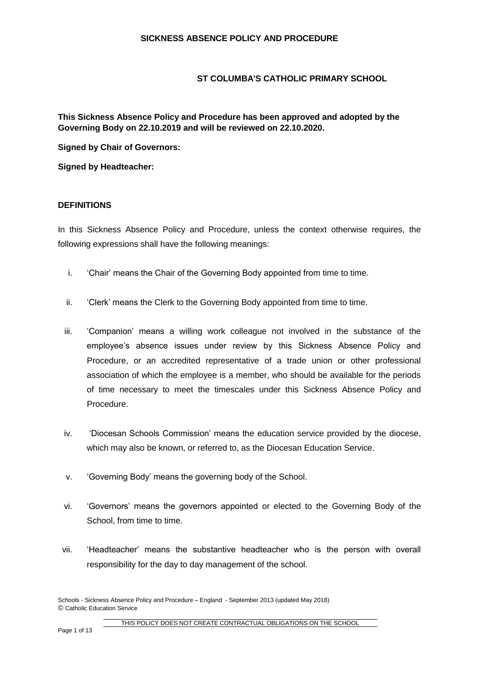# **ST COLUMBA'S CATHOLIC PRIMARY SCHOOL**

**This Sickness Absence Policy and Procedure has been approved and adopted by the Governing Body on 22.10.2019 and will be reviewed on 22.10.2020.**

**Signed by Chair of Governors:**

**Signed by Headteacher:**

# **DEFINITIONS**

In this Sickness Absence Policy and Procedure, unless the context otherwise requires, the following expressions shall have the following meanings:

- i. 'Chair' means the Chair of the Governing Body appointed from time to time.
- ii. 'Clerk' means the Clerk to the Governing Body appointed from time to time.
- iii. 'Companion' means a willing work colleague not involved in the substance of the employee's absence issues under review by this Sickness Absence Policy and Procedure, or an accredited representative of a trade union or other professional association of which the employee is a member, who should be available for the periods of time necessary to meet the timescales under this Sickness Absence Policy and Procedure.
- iv. 'Diocesan Schools Commission' means the education service provided by the diocese, which may also be known, or referred to, as the Diocesan Education Service.
- v. 'Governing Body' means the governing body of the School.
- vi. 'Governors' means the governors appointed or elected to the Governing Body of the School, from time to time.
- vii. 'Headteacher' means the substantive headteacher who is the person with overall responsibility for the day to day management of the school.

Schools - Sickness Absence Policy and Procedure – England - September 2013 (updated May 2018) © Catholic Education Service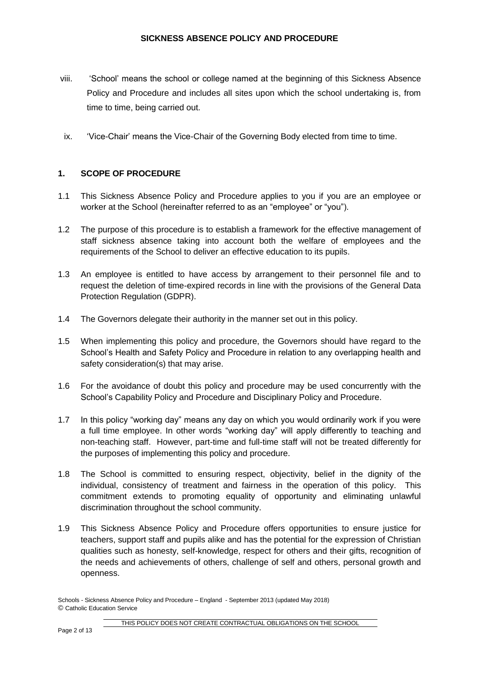- viii. 'School' means the school or college named at the beginning of this Sickness Absence Policy and Procedure and includes all sites upon which the school undertaking is, from time to time, being carried out.
- ix. 'Vice-Chair' means the Vice-Chair of the Governing Body elected from time to time.

# **1. SCOPE OF PROCEDURE**

- 1.1 This Sickness Absence Policy and Procedure applies to you if you are an employee or worker at the School (hereinafter referred to as an "employee" or "you").
- 1.2 The purpose of this procedure is to establish a framework for the effective management of staff sickness absence taking into account both the welfare of employees and the requirements of the School to deliver an effective education to its pupils.
- 1.3 An employee is entitled to have access by arrangement to their personnel file and to request the deletion of time-expired records in line with the provisions of the General Data Protection Regulation (GDPR).
- 1.4 The Governors delegate their authority in the manner set out in this policy.
- 1.5 When implementing this policy and procedure, the Governors should have regard to the School's Health and Safety Policy and Procedure in relation to any overlapping health and safety consideration(s) that may arise.
- 1.6 For the avoidance of doubt this policy and procedure may be used concurrently with the School's Capability Policy and Procedure and Disciplinary Policy and Procedure.
- 1.7 In this policy "working day" means any day on which you would ordinarily work if you were a full time employee. In other words "working day" will apply differently to teaching and non-teaching staff. However, part-time and full-time staff will not be treated differently for the purposes of implementing this policy and procedure.
- 1.8 The School is committed to ensuring respect, objectivity, belief in the dignity of the individual, consistency of treatment and fairness in the operation of this policy. This commitment extends to promoting equality of opportunity and eliminating unlawful discrimination throughout the school community.
- 1.9 This Sickness Absence Policy and Procedure offers opportunities to ensure justice for teachers, support staff and pupils alike and has the potential for the expression of Christian qualities such as honesty, self-knowledge, respect for others and their gifts, recognition of the needs and achievements of others, challenge of self and others, personal growth and openness.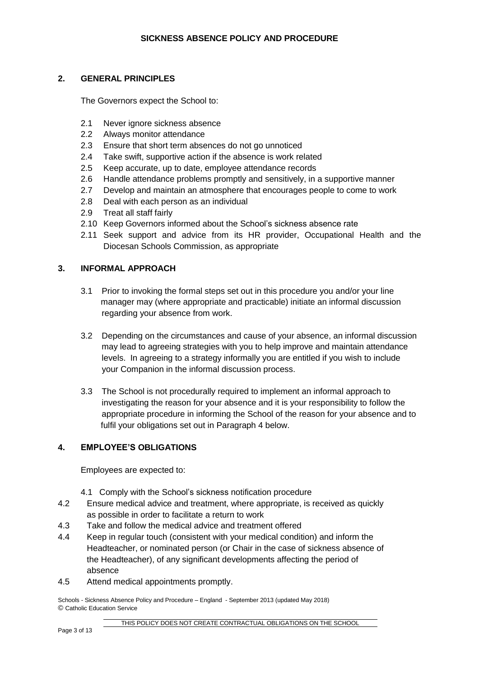# **2. GENERAL PRINCIPLES**

The Governors expect the School to:

- 2.1 Never ignore sickness absence
- 2.2 Always monitor attendance
- 2.3 Ensure that short term absences do not go unnoticed
- 2.4 Take swift, supportive action if the absence is work related
- 2.5 Keep accurate, up to date, employee attendance records
- 2.6 Handle attendance problems promptly and sensitively, in a supportive manner
- 2.7 Develop and maintain an atmosphere that encourages people to come to work
- 2.8 Deal with each person as an individual
- 2.9 Treat all staff fairly
- 2.10 Keep Governors informed about the School's sickness absence rate
- 2.11 Seek support and advice from its HR provider, Occupational Health and the Diocesan Schools Commission, as appropriate

# **3. INFORMAL APPROACH**

- 3.1 Prior to invoking the formal steps set out in this procedure you and/or your line manager may (where appropriate and practicable) initiate an informal discussion regarding your absence from work.
- 3.2 Depending on the circumstances and cause of your absence, an informal discussion may lead to agreeing strategies with you to help improve and maintain attendance levels. In agreeing to a strategy informally you are entitled if you wish to include your Companion in the informal discussion process.
- 3.3 The School is not procedurally required to implement an informal approach to investigating the reason for your absence and it is your responsibility to follow the appropriate procedure in informing the School of the reason for your absence and to fulfil your obligations set out in Paragraph 4 below.

#### **4. EMPLOYEE'S OBLIGATIONS**

Employees are expected to:

- 4.1 Comply with the School's sickness notification procedure
- 4.2 Ensure medical advice and treatment, where appropriate, is received as quickly as possible in order to facilitate a return to work
- 4.3 Take and follow the medical advice and treatment offered
- 4.4 Keep in regular touch (consistent with your medical condition) and inform the Headteacher, or nominated person (or Chair in the case of sickness absence of the Headteacher), of any significant developments affecting the period of absence
- 4.5 Attend medical appointments promptly.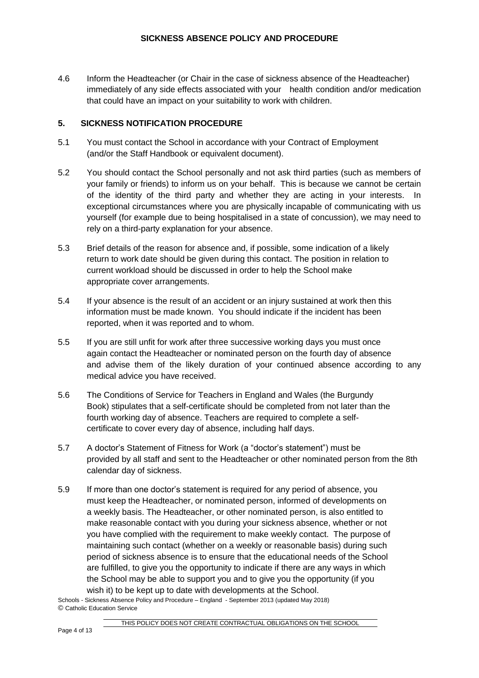4.6 Inform the Headteacher (or Chair in the case of sickness absence of the Headteacher) immediately of any side effects associated with your health condition and/or medication that could have an impact on your suitability to work with children.

# **5. SICKNESS NOTIFICATION PROCEDURE**

- 5.1 You must contact the School in accordance with your Contract of Employment (and/or the Staff Handbook or equivalent document).
- 5.2 You should contact the School personally and not ask third parties (such as members of your family or friends) to inform us on your behalf. This is because we cannot be certain of the identity of the third party and whether they are acting in your interests. In exceptional circumstances where you are physically incapable of communicating with us yourself (for example due to being hospitalised in a state of concussion), we may need to rely on a third-party explanation for your absence.
- 5.3 Brief details of the reason for absence and, if possible, some indication of a likely return to work date should be given during this contact. The position in relation to current workload should be discussed in order to help the School make appropriate cover arrangements.
- 5.4 If your absence is the result of an accident or an injury sustained at work then this information must be made known. You should indicate if the incident has been reported, when it was reported and to whom.
- 5.5 If you are still unfit for work after three successive working days you must once again contact the Headteacher or nominated person on the fourth day of absence and advise them of the likely duration of your continued absence according to any medical advice you have received.
- 5.6 The Conditions of Service for Teachers in England and Wales (the Burgundy Book) stipulates that a self-certificate should be completed from not later than the fourth working day of absence. Teachers are required to complete a selfcertificate to cover every day of absence, including half days.
- 5.7 A doctor's Statement of Fitness for Work (a "doctor's statement") must be provided by all staff and sent to the Headteacher or other nominated person from the 8th calendar day of sickness.
- 5.9 If more than one doctor's statement is required for any period of absence, you must keep the Headteacher, or nominated person, informed of developments on a weekly basis. The Headteacher, or other nominated person, is also entitled to make reasonable contact with you during your sickness absence, whether or not you have complied with the requirement to make weekly contact. The purpose of maintaining such contact (whether on a weekly or reasonable basis) during such period of sickness absence is to ensure that the educational needs of the School are fulfilled, to give you the opportunity to indicate if there are any ways in which the School may be able to support you and to give you the opportunity (if you wish it) to be kept up to date with developments at the School.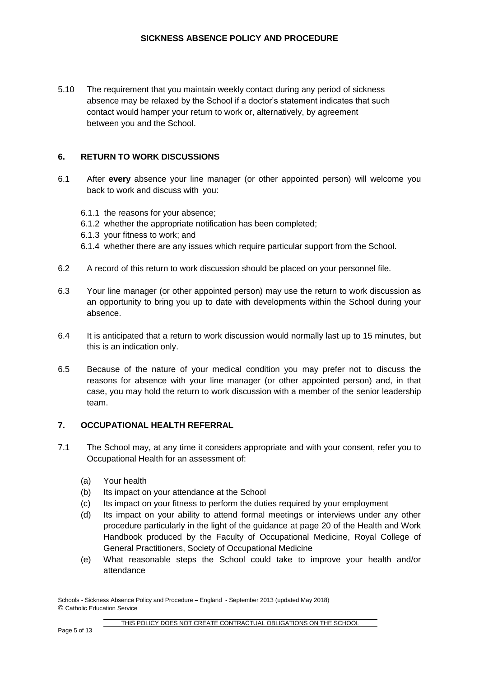5.10 The requirement that you maintain weekly contact during any period of sickness absence may be relaxed by the School if a doctor's statement indicates that such contact would hamper your return to work or, alternatively, by agreement between you and the School.

#### **6. RETURN TO WORK DISCUSSIONS**

- 6.1 After **every** absence your line manager (or other appointed person) will welcome you back to work and discuss with you:
	- 6.1.1 the reasons for your absence;
	- 6.1.2 whether the appropriate notification has been completed;
	- 6.1.3 your fitness to work; and
	- 6.1.4 whether there are any issues which require particular support from the School.
- 6.2 A record of this return to work discussion should be placed on your personnel file.
- 6.3 Your line manager (or other appointed person) may use the return to work discussion as an opportunity to bring you up to date with developments within the School during your absence.
- 6.4 It is anticipated that a return to work discussion would normally last up to 15 minutes, but this is an indication only.
- 6.5 Because of the nature of your medical condition you may prefer not to discuss the reasons for absence with your line manager (or other appointed person) and, in that case, you may hold the return to work discussion with a member of the senior leadership team.

# **7. OCCUPATIONAL HEALTH REFERRAL**

- 7.1 The School may, at any time it considers appropriate and with your consent, refer you to Occupational Health for an assessment of:
	- (a) Your health
	- (b) Its impact on your attendance at the School
	- (c) Its impact on your fitness to perform the duties required by your employment
	- (d) Its impact on your ability to attend formal meetings or interviews under any other procedure particularly in the light of the guidance at page 20 of the Health and Work Handbook produced by the Faculty of Occupational Medicine, Royal College of General Practitioners, Society of Occupational Medicine
	- (e) What reasonable steps the School could take to improve your health and/or attendance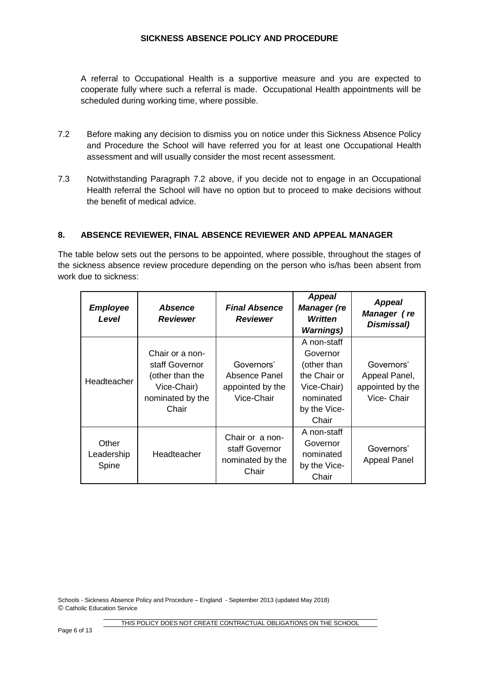# **SICKNESS ABSENCE POLICY AND PROCEDURE**

A referral to Occupational Health is a supportive measure and you are expected to cooperate fully where such a referral is made. Occupational Health appointments will be scheduled during working time, where possible.

- 7.2 Before making any decision to dismiss you on notice under this Sickness Absence Policy and Procedure the School will have referred you for at least one Occupational Health assessment and will usually consider the most recent assessment.
- 7.3 Notwithstanding Paragraph 7.2 above, if you decide not to engage in an Occupational Health referral the School will have no option but to proceed to make decisions without the benefit of medical advice.

# **8. ABSENCE REVIEWER, FINAL ABSENCE REVIEWER AND APPEAL MANAGER**

The table below sets out the persons to be appointed, where possible, throughout the stages of the sickness absence review procedure depending on the person who is/has been absent from work due to sickness:

| <b>Employee</b><br>Level     | <b>Absence</b><br><b>Reviewer</b>                                                                | <b>Final Absence</b><br><b>Reviewer</b>                        | <b>Appeal</b><br><b>Manager</b> (re<br><b>Written</b><br><b>Warnings</b> )                                  | <b>Appeal</b><br>Manager (re<br>Dismissal)                     |
|------------------------------|--------------------------------------------------------------------------------------------------|----------------------------------------------------------------|-------------------------------------------------------------------------------------------------------------|----------------------------------------------------------------|
| Headteacher                  | Chair or a non-<br>staff Governor<br>(other than the<br>Vice-Chair)<br>nominated by the<br>Chair | Governors'<br>Absence Panel<br>appointed by the<br>Vice-Chair  | A non-staff<br>Governor<br>(other than<br>the Chair or<br>Vice-Chair)<br>nominated<br>by the Vice-<br>Chair | Governors'<br>Appeal Panel,<br>appointed by the<br>Vice- Chair |
| Other<br>Leadership<br>Spine | Headteacher                                                                                      | Chair or a non-<br>staff Governor<br>nominated by the<br>Chair | A non-staff<br>Governor<br>nominated<br>by the Vice-<br>Chair                                               | Governors'<br><b>Appeal Panel</b>                              |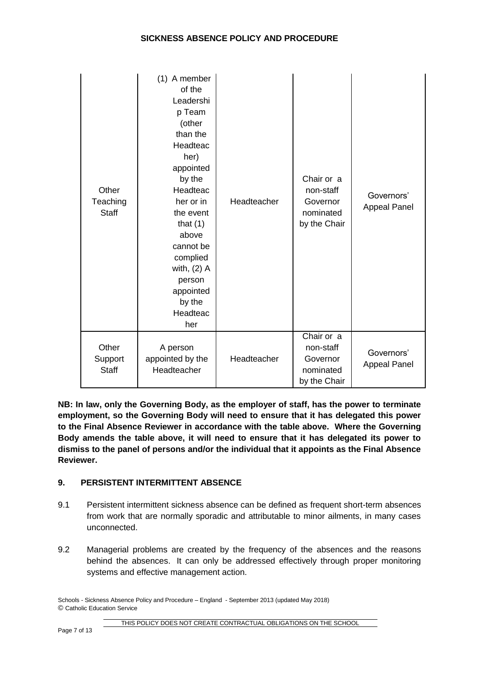# **SICKNESS ABSENCE POLICY AND PROCEDURE**

| Other<br>Teaching<br><b>Staff</b> | (1) A member<br>of the<br>Leadershi<br>p Team<br>(other<br>than the<br>Headteac<br>her)<br>appointed<br>by the<br>Headteac<br>her or in<br>the event<br>that $(1)$<br>above<br>cannot be<br>complied<br>with, $(2)$ A<br>person<br>appointed<br>by the<br>Headteac<br>her | Headteacher | Chair or a<br>non-staff<br>Governor<br>nominated<br>by the Chair | Governors'<br><b>Appeal Panel</b> |
|-----------------------------------|---------------------------------------------------------------------------------------------------------------------------------------------------------------------------------------------------------------------------------------------------------------------------|-------------|------------------------------------------------------------------|-----------------------------------|
| Other<br>Support<br><b>Staff</b>  | A person<br>appointed by the<br>Headteacher                                                                                                                                                                                                                               | Headteacher | Chair or a<br>non-staff<br>Governor<br>nominated<br>by the Chair | Governors'<br><b>Appeal Panel</b> |

**NB: In law, only the Governing Body, as the employer of staff, has the power to terminate employment, so the Governing Body will need to ensure that it has delegated this power to the Final Absence Reviewer in accordance with the table above. Where the Governing Body amends the table above, it will need to ensure that it has delegated its power to dismiss to the panel of persons and/or the individual that it appoints as the Final Absence Reviewer.** 

# **9. PERSISTENT INTERMITTENT ABSENCE**

- 9.1 Persistent intermittent sickness absence can be defined as frequent short-term absences from work that are normally sporadic and attributable to minor ailments, in many cases unconnected.
- 9.2 Managerial problems are created by the frequency of the absences and the reasons behind the absences. It can only be addressed effectively through proper monitoring systems and effective management action.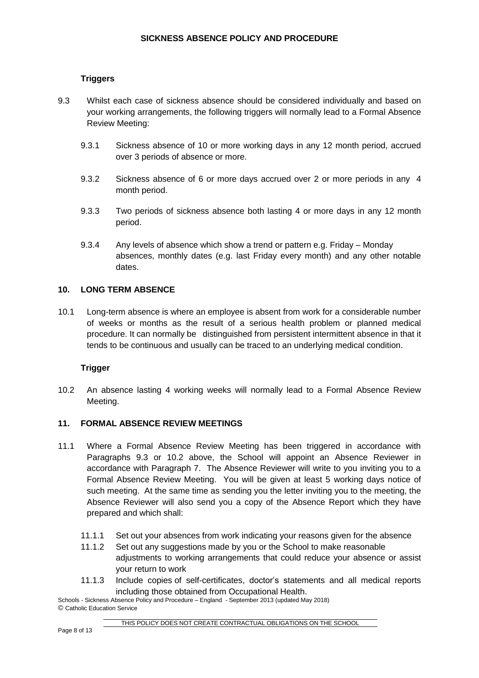# **Triggers**

- 9.3 Whilst each case of sickness absence should be considered individually and based on your working arrangements, the following triggers will normally lead to a Formal Absence Review Meeting:
	- 9.3.1 Sickness absence of 10 or more working days in any 12 month period, accrued over 3 periods of absence or more.
	- 9.3.2 Sickness absence of 6 or more days accrued over 2 or more periods in any 4 month period.
	- 9.3.3 Two periods of sickness absence both lasting 4 or more days in any 12 month period.
	- 9.3.4 Any levels of absence which show a trend or pattern e.g. Friday Monday absences, monthly dates (e.g. last Friday every month) and any other notable dates.

# **10. LONG TERM ABSENCE**

10.1 Long-term absence is where an employee is absent from work for a considerable number of weeks or months as the result of a serious health problem or planned medical procedure. It can normally be distinguished from persistent intermittent absence in that it tends to be continuous and usually can be traced to an underlying medical condition.

# **Trigger**

10.2 An absence lasting 4 working weeks will normally lead to a Formal Absence Review Meeting.

# **11. FORMAL ABSENCE REVIEW MEETINGS**

- 11.1 Where a Formal Absence Review Meeting has been triggered in accordance with Paragraphs 9.3 or 10.2 above, the School will appoint an Absence Reviewer in accordance with Paragraph 7. The Absence Reviewer will write to you inviting you to a Formal Absence Review Meeting. You will be given at least 5 working days notice of such meeting. At the same time as sending you the letter inviting you to the meeting, the Absence Reviewer will also send you a copy of the Absence Report which they have prepared and which shall:
	- 11.1.1 Set out your absences from work indicating your reasons given for the absence
	- 11.1.2 Set out any suggestions made by you or the School to make reasonable adjustments to working arrangements that could reduce your absence or assist your return to work
	- 11.1.3 Include copies of self-certificates, doctor's statements and all medical reports including those obtained from Occupational Health.

Schools - Sickness Absence Policy and Procedure – England - September 2013 (updated May 2018) © Catholic Education Service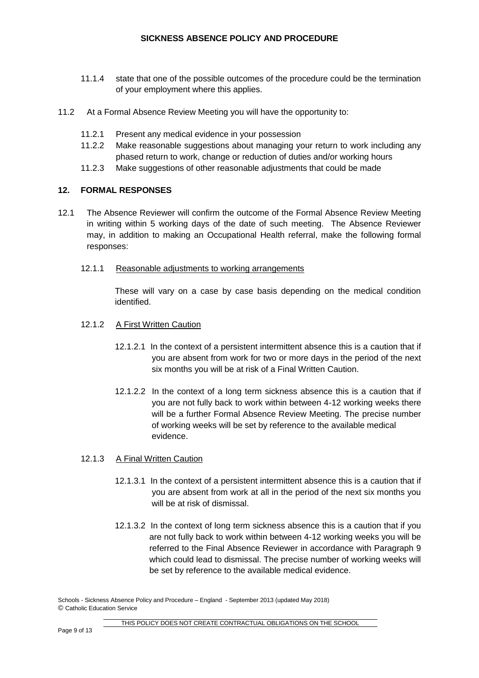- 11.1.4 state that one of the possible outcomes of the procedure could be the termination of your employment where this applies.
- 11.2 At a Formal Absence Review Meeting you will have the opportunity to:
	- 11.2.1 Present any medical evidence in your possession
	- 11.2.2 Make reasonable suggestions about managing your return to work including any phased return to work, change or reduction of duties and/or working hours
	- 11.2.3 Make suggestions of other reasonable adjustments that could be made

# **12. FORMAL RESPONSES**

- 12.1 The Absence Reviewer will confirm the outcome of the Formal Absence Review Meeting in writing within 5 working days of the date of such meeting. The Absence Reviewer may, in addition to making an Occupational Health referral, make the following formal responses:
	- 12.1.1 Reasonable adjustments to working arrangements

These will vary on a case by case basis depending on the medical condition identified.

- 12.1.2 A First Written Caution
	- 12.1.2.1 In the context of a persistent intermittent absence this is a caution that if you are absent from work for two or more days in the period of the next six months you will be at risk of a Final Written Caution.
	- 12.1.2.2 In the context of a long term sickness absence this is a caution that if you are not fully back to work within between 4-12 working weeks there will be a further Formal Absence Review Meeting. The precise number of working weeks will be set by reference to the available medical evidence.

#### 12.1.3 A Final Written Caution

- 12.1.3.1 In the context of a persistent intermittent absence this is a caution that if you are absent from work at all in the period of the next six months you will be at risk of dismissal.
- 12.1.3.2 In the context of long term sickness absence this is a caution that if you are not fully back to work within between 4-12 working weeks you will be referred to the Final Absence Reviewer in accordance with Paragraph 9 which could lead to dismissal. The precise number of working weeks will be set by reference to the available medical evidence.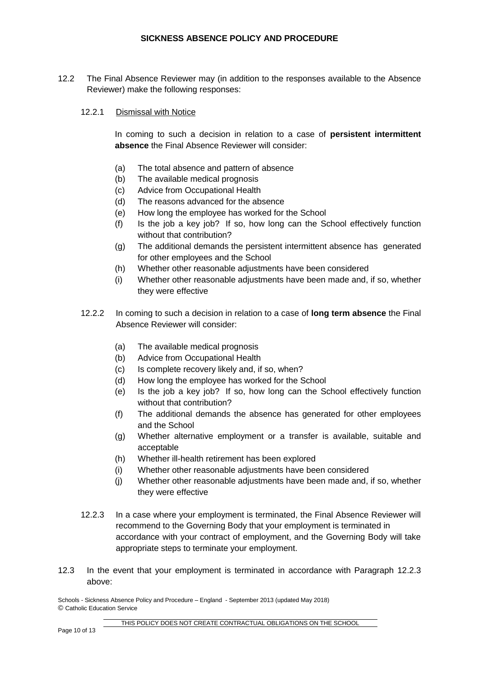12.2 The Final Absence Reviewer may (in addition to the responses available to the Absence Reviewer) make the following responses:

#### 12.2.1 Dismissal with Notice

In coming to such a decision in relation to a case of **persistent intermittent absence** the Final Absence Reviewer will consider:

- (a) The total absence and pattern of absence
- (b) The available medical prognosis
- (c) Advice from Occupational Health
- (d) The reasons advanced for the absence
- (e) How long the employee has worked for the School
- (f) Is the job a key job? If so, how long can the School effectively function without that contribution?
- (g) The additional demands the persistent intermittent absence has generated for other employees and the School
- (h) Whether other reasonable adjustments have been considered
- (i) Whether other reasonable adjustments have been made and, if so, whether they were effective
- 12.2.2 In coming to such a decision in relation to a case of **long term absence** the Final Absence Reviewer will consider:
	- (a) The available medical prognosis
	- (b) Advice from Occupational Health
	- (c) Is complete recovery likely and, if so, when?
	- (d) How long the employee has worked for the School
	- (e) Is the job a key job? If so, how long can the School effectively function without that contribution?
	- (f) The additional demands the absence has generated for other employees and the School
	- (g) Whether alternative employment or a transfer is available, suitable and acceptable
	- (h) Whether ill-health retirement has been explored
	- (i) Whether other reasonable adjustments have been considered
	- (j) Whether other reasonable adjustments have been made and, if so, whether they were effective
- 12.2.3 In a case where your employment is terminated, the Final Absence Reviewer will recommend to the Governing Body that your employment is terminated in accordance with your contract of employment, and the Governing Body will take appropriate steps to terminate your employment.
- 12.3 In the event that your employment is terminated in accordance with Paragraph 12.2.3 above: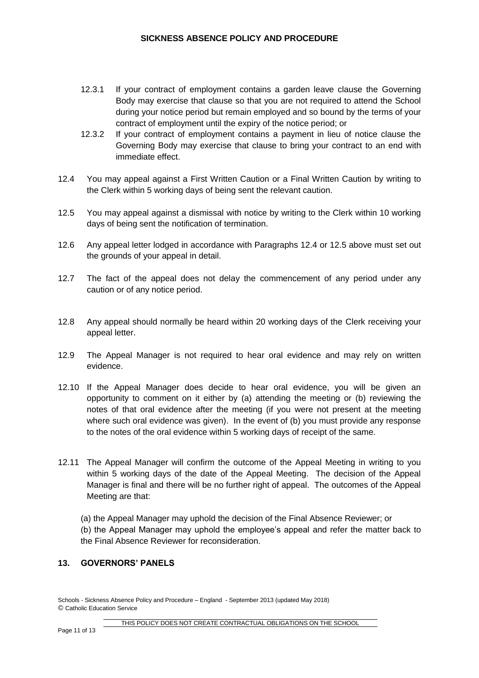# **SICKNESS ABSENCE POLICY AND PROCEDURE**

- 12.3.1 If your contract of employment contains a garden leave clause the Governing Body may exercise that clause so that you are not required to attend the School during your notice period but remain employed and so bound by the terms of your contract of employment until the expiry of the notice period; or
- 12.3.2 If your contract of employment contains a payment in lieu of notice clause the Governing Body may exercise that clause to bring your contract to an end with immediate effect.
- 12.4 You may appeal against a First Written Caution or a Final Written Caution by writing to the Clerk within 5 working days of being sent the relevant caution.
- 12.5 You may appeal against a dismissal with notice by writing to the Clerk within 10 working days of being sent the notification of termination.
- 12.6 Any appeal letter lodged in accordance with Paragraphs 12.4 or 12.5 above must set out the grounds of your appeal in detail.
- 12.7 The fact of the appeal does not delay the commencement of any period under any caution or of any notice period.
- 12.8 Any appeal should normally be heard within 20 working days of the Clerk receiving your appeal letter.
- 12.9 The Appeal Manager is not required to hear oral evidence and may rely on written evidence.
- 12.10 If the Appeal Manager does decide to hear oral evidence, you will be given an opportunity to comment on it either by (a) attending the meeting or (b) reviewing the notes of that oral evidence after the meeting (if you were not present at the meeting where such oral evidence was given). In the event of (b) you must provide any response to the notes of the oral evidence within 5 working days of receipt of the same.
- 12.11 The Appeal Manager will confirm the outcome of the Appeal Meeting in writing to you within 5 working days of the date of the Appeal Meeting. The decision of the Appeal Manager is final and there will be no further right of appeal. The outcomes of the Appeal Meeting are that:

(a) the Appeal Manager may uphold the decision of the Final Absence Reviewer; or (b) the Appeal Manager may uphold the employee's appeal and refer the matter back to the Final Absence Reviewer for reconsideration.

#### **13. GOVERNORS' PANELS**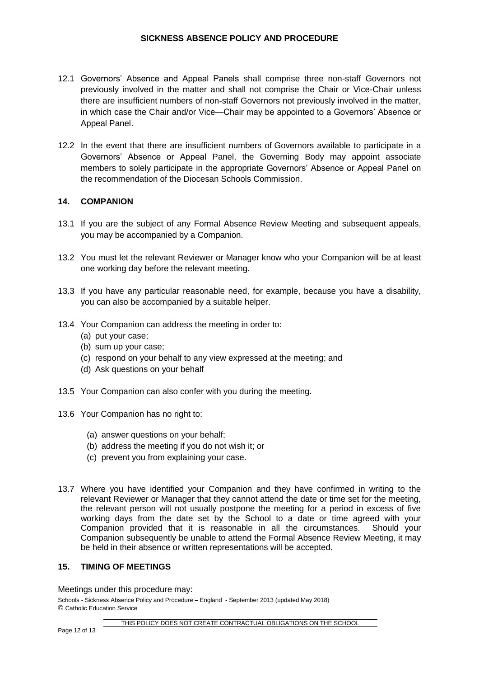- 12.1 Governors' Absence and Appeal Panels shall comprise three non-staff Governors not previously involved in the matter and shall not comprise the Chair or Vice-Chair unless there are insufficient numbers of non-staff Governors not previously involved in the matter, in which case the Chair and/or Vice—Chair may be appointed to a Governors' Absence or Appeal Panel.
- 12.2 In the event that there are insufficient numbers of Governors available to participate in a Governors' Absence or Appeal Panel, the Governing Body may appoint associate members to solely participate in the appropriate Governors' Absence or Appeal Panel on the recommendation of the Diocesan Schools Commission.

#### **14. COMPANION**

- 13.1 If you are the subject of any Formal Absence Review Meeting and subsequent appeals, you may be accompanied by a Companion.
- 13.2 You must let the relevant Reviewer or Manager know who your Companion will be at least one working day before the relevant meeting.
- 13.3 If you have any particular reasonable need, for example, because you have a disability, you can also be accompanied by a suitable helper.
- 13.4 Your Companion can address the meeting in order to:
	- (a) put your case;
	- (b) sum up your case;
	- (c) respond on your behalf to any view expressed at the meeting; and
	- (d) Ask questions on your behalf
- 13.5 Your Companion can also confer with you during the meeting.
- 13.6 Your Companion has no right to:
	- (a) answer questions on your behalf;
	- (b) address the meeting if you do not wish it; or
	- (c) prevent you from explaining your case.
- 13.7 Where you have identified your Companion and they have confirmed in writing to the relevant Reviewer or Manager that they cannot attend the date or time set for the meeting, the relevant person will not usually postpone the meeting for a period in excess of five working days from the date set by the School to a date or time agreed with your Companion provided that it is reasonable in all the circumstances. Should your Companion subsequently be unable to attend the Formal Absence Review Meeting, it may be held in their absence or written representations will be accepted.

# **15. TIMING OF MEETINGS**

Meetings under this procedure may: